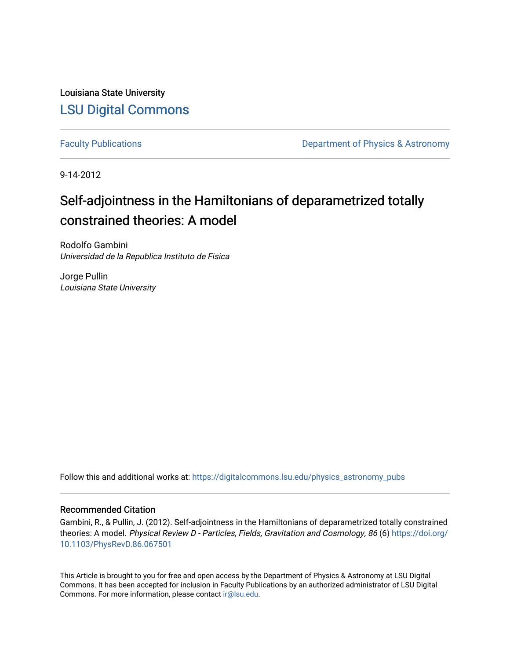Louisiana State University [LSU Digital Commons](https://digitalcommons.lsu.edu/)

[Faculty Publications](https://digitalcommons.lsu.edu/physics_astronomy_pubs) **Exercise 2 and Table 2 and Table 2 and Table 2 and Table 2 and Table 2 and Table 2 and Table 2 and Table 2 and Table 2 and Table 2 and Table 2 and Table 2 and Table 2 and Table 2 and Table 2 and Table** 

9-14-2012

# Self-adjointness in the Hamiltonians of deparametrized totally constrained theories: A model

Rodolfo Gambini Universidad de la Republica Instituto de Fisica

Jorge Pullin Louisiana State University

Follow this and additional works at: [https://digitalcommons.lsu.edu/physics\\_astronomy\\_pubs](https://digitalcommons.lsu.edu/physics_astronomy_pubs?utm_source=digitalcommons.lsu.edu%2Fphysics_astronomy_pubs%2F4337&utm_medium=PDF&utm_campaign=PDFCoverPages) 

## Recommended Citation

Gambini, R., & Pullin, J. (2012). Self-adjointness in the Hamiltonians of deparametrized totally constrained theories: A model. Physical Review D - Particles, Fields, Gravitation and Cosmology, 86 (6) [https://doi.org/](https://doi.org/10.1103/PhysRevD.86.067501) [10.1103/PhysRevD.86.067501](https://doi.org/10.1103/PhysRevD.86.067501) 

This Article is brought to you for free and open access by the Department of Physics & Astronomy at LSU Digital Commons. It has been accepted for inclusion in Faculty Publications by an authorized administrator of LSU Digital Commons. For more information, please contact [ir@lsu.edu](mailto:ir@lsu.edu).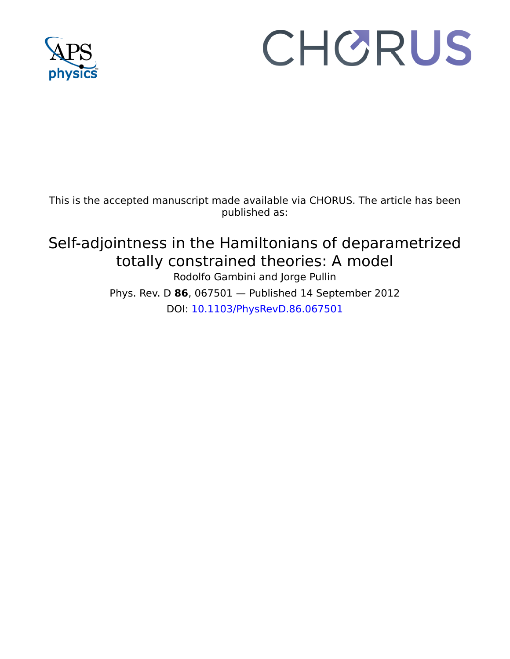

# CHORUS

This is the accepted manuscript made available via CHORUS. The article has been published as:

Self-adjointness in the Hamiltonians of deparametrized totally constrained theories: A model Rodolfo Gambini and Jorge Pullin Phys. Rev. D **86**, 067501 — Published 14 September 2012 DOI: [10.1103/PhysRevD.86.067501](http://dx.doi.org/10.1103/PhysRevD.86.067501)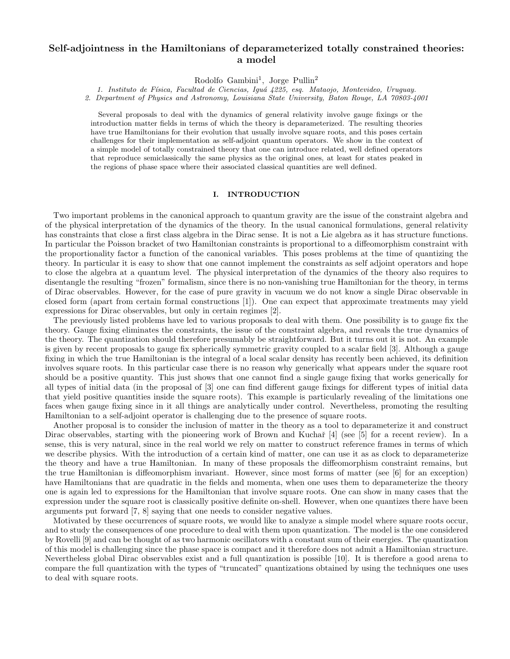### Self-adjointness in the Hamiltonians of deparameterized totally constrained theories: a model

Rodolfo Gambini 1 , Jorge Pullin 2

1. Instituto de F´ısica, Facultad de Ciencias, Igu´a 4225, esq. Mataojo, Montevideo, Uruguay.

2. Department of Physics and Astronomy, Louisiana State University, Baton Rouge, LA 70803-4001

Several proposals to deal with the dynamics of general relativity involve gauge fixings or the introduction matter fields in terms of which the theory is deparameterized. The resulting theories have true Hamiltonians for their evolution that usually involve square roots, and this poses certain challenges for their implementation as self-adjoint quantum operators. We show in the context of a simple model of totally constrained theory that one can introduce related, well defined operators that reproduce semiclassically the same physics as the original ones, at least for states peaked in the regions of phase space where their associated classical quantities are well defined.

#### I. INTRODUCTION

Two important problems in the canonical approach to quantum gravity are the issue of the constraint algebra and of the physical interpretation of the dynamics of the theory. In the usual canonical formulations, general relativity has constraints that close a first class algebra in the Dirac sense. It is not a Lie algebra as it has structure functions. In particular the Poisson bracket of two Hamiltonian constraints is proportional to a diffeomorphism constraint with the proportionality factor a function of the canonical variables. This poses problems at the time of quantizing the theory. In particular it is easy to show that one cannot implement the constraints as self adjoint operators and hope to close the algebra at a quantum level. The physical interpretation of the dynamics of the theory also requires to disentangle the resulting "frozen" formalism, since there is no non-vanishing true Hamiltonian for the theory, in terms of Dirac observables. However, for the case of pure gravity in vacuum we do not know a single Dirac observable in closed form (apart from certain formal constructions [1]). One can expect that approximate treatments may yield expressions for Dirac observables, but only in certain regimes [2].

To regions or prasses peace where duer associated crassical quantities are well defined.<br>
IDENTIFY TO positive the constraint algebra of the chory simulation in the case of the constraint algebra in interpretation of the The previously listed problems have led to various proposals to deal with them. One possibility is to gauge fix the theory. Gauge fixing eliminates the constraints, the issue of the constraint algebra, and reveals the true dynamics of the theory. The quantization should therefore presumably be straightforward. But it turns out it is not. An example is given by recent proposals to gauge fix spherically symmetric gravity coupled to a scalar field [3]. Although a gauge fixing in which the true Hamiltonian is the integral of a local scalar density has recently been achieved, its definition involves square roots. In this particular case there is no reason why generically what appears under the square root should be a positive quantity. This just shows that one cannot find a single gauge fixing that works generically for all types of initial data (in the proposal of [3] one can find different gauge fixings for different types of initial data that yield positive quantities inside the square roots). This example is particularly revealing of the limitations one faces when gauge fixing since in it all things are analytically under control. Nevertheless, promoting the resulting Hamiltonian to a self-adjoint operator is challenging due to the presence of square roots.

Another proposal is to consider the inclusion of matter in the theory as a tool to deparameterize it and construct Dirac observables, starting with the pioneering work of Brown and Kuchař [4] (see [5] for a recent review). In a sense, this is very natural, since in the real world we rely on matter to construct reference frames in terms of which we describe physics. With the introduction of a certain kind of matter, one can use it as as clock to deparameterize the theory and have a true Hamiltonian. In many of these proposals the diffeomorphism constraint remains, but the true Hamiltonian is diffeomorphism invariant. However, since most forms of matter (see [6] for an exception) have Hamiltonians that are quadratic in the fields and momenta, when one uses them to deparameterize the theory one is again led to expressions for the Hamiltonian that involve square roots. One can show in many cases that the expression under the square root is classically positive definite on-shell. However, when one quantizes there have been arguments put forward [7, 8] saying that one needs to consider negative values.

Motivated by these occurrences of square roots, we would like to analyze a simple model where square roots occur, and to study the consequences of one procedure to deal with them upon quantization. The model is the one considered by Rovelli [9] and can be thought of as two harmonic oscillators with a constant sum of their energies. The quantization of this model is challenging since the phase space is compact and it therefore does not admit a Hamiltonian structure. Nevertheless global Dirac observables exist and a full quantization is possible [10]. It is therefore a good arena to compare the full quantization with the types of "truncated" quantizations obtained by using the techniques one uses to deal with square roots.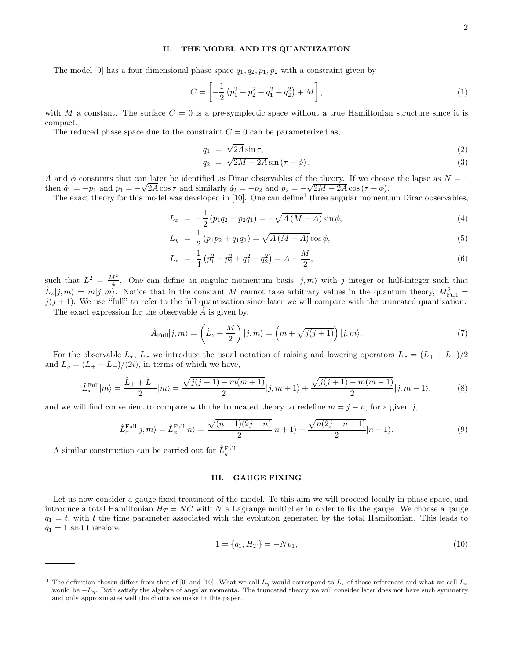#### II. THE MODEL AND ITS QUANTIZATION

The model [9] has a four dimensional phase space  $q_1, q_2, p_1, p_2$  with a constraint given by

$$
C = \left[ -\frac{1}{2} \left( p_1^2 + p_2^2 + q_1^2 + q_2^2 \right) + M \right],
$$
\n(1)

with M a constant. The surface  $C = 0$  is a pre-symplectic space without a true Hamiltonian structure since it is compact.

The reduced phase space due to the constraint  $C = 0$  can be parameterized as,

$$
q_1 = \sqrt{2A} \sin \tau,\tag{2}
$$

$$
q_2 = \sqrt{2M - 2A} \sin(\tau + \phi). \tag{3}
$$

A and  $\phi$  constants that can later be identified as Dirac observables of the theory. If we choose the lapse as  $N = 1$ then  $\dot{q}_1 = -p_1$  and  $p_1 = -\sqrt{2A} \cos \tau$  and similarly  $\dot{q}_2 = -p_2$  and  $p_2 = -\sqrt{2M - 2A} \cos(\tau + \phi)$ .

The exact theory for this model was developed in [10]. One can define<sup>1</sup> three angular momentum Dirac observables,

$$
L_x = -\frac{1}{2} (p_1 q_2 - p_2 q_1) = -\sqrt{A(M - A)} \sin \phi,
$$
\n(4)

$$
L_y = \frac{1}{2} (p_1 p_2 + q_1 q_2) = \sqrt{A (M - A)} \cos \phi,
$$
\n(5)

$$
L_z = \frac{1}{4} \left( p_1^2 - p_2^2 + q_1^2 - q_2^2 \right) = A - \frac{M}{2},\tag{6}
$$

such that  $L^2 = \frac{M^2}{4}$ . One can define an angular momentum basis  $|j, m\rangle$  with j integer or half-integer such that  $\hat{L}_z|j,m\rangle = m|j,m\rangle$ . Notice that in the constant M cannot take arbitrary values in the quantum theory,  $M_{\text{Full}}^2 =$  $j(j + 1)$ . We use "full" to refer to the full quantization since later we will compare with the truncated quantization.

The exact expression for the observable  $\hat{A}$  is given by,

$$
\hat{A}_{\text{Full}}|j,m\rangle = \left(\hat{L}_z + \frac{M}{2}\right)|j,m\rangle = \left(m + \sqrt{j(j+1)}\right)|j,m\rangle. \tag{7}
$$

For the observable  $L_x$ ,  $L_x$  we introduce the usual notation of raising and lowering operators  $L_x = (L_+ + L_-)/2$ and  $L_y = (L_{+} - L_{-})/(2i)$ , in terms of which we have,

$$
\hat{L}_x^{\text{Full}}|m\rangle = \frac{\hat{L}_+ + \hat{L}_-}{2}|m\rangle = \frac{\sqrt{j(j+1) - m(m+1)}}{2}|j, m+1\rangle + \frac{\sqrt{j(j+1) - m(m-1)}}{2}|j, m-1\rangle,\tag{8}
$$

and we will find convenient to compare with the truncated theory to redefine  $m = j - n$ , for a given j,

$$
\hat{L}_x^{\text{Full}}|j,m\rangle = \hat{L}_x^{\text{Full}}|n\rangle = \frac{\sqrt{(n+1)(2j-n)}}{2}|n+1\rangle + \frac{\sqrt{n(2j-n+1)}}{2}|n-1\rangle. \tag{9}
$$

A similar construction can be carried out for  $\hat{L}_y^{\text{Full}}$ .

#### III. GAUGE FIXING

Let us now consider a gauge fixed treatment of the model. To this aim we will proceed locally in phase space, and introduce a total Hamiltonian  $H_T = NC$  with N a Lagrange multiplier in order to fix the gauge. We choose a gauge  $q_1 = t$ , with t the time parameter associated with the evolution generated by the total Hamiltonian. This leads to  $\dot{q}_1 = 1$  and therefore,

$$
1 = \{q_1, H_T\} = -Np_1,\tag{10}
$$

<sup>&</sup>lt;sup>1</sup> The definition chosen differs from that of [9] and [10]. What we call  $L_y$  would correspond to  $L_x$  of those references and what we call  $L_x$ would be  $-L_y$ . Both satisfy the algebra of angular momenta. The truncated theory we will consider later does not have such symmetry and only approximates well the choice we make in this paper.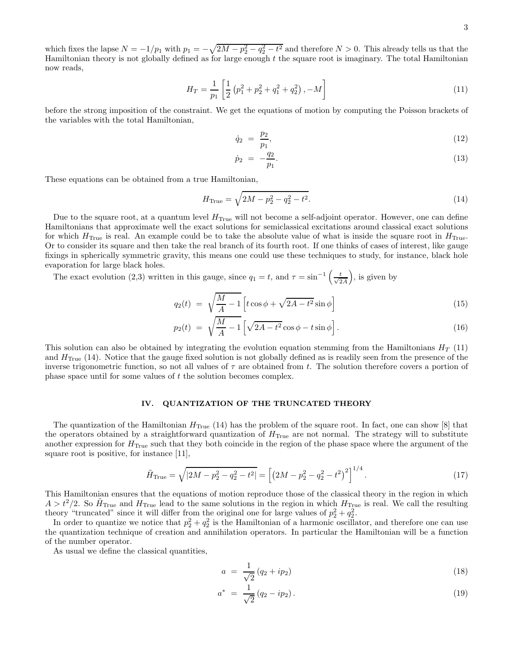which fixes the lapse  $N = -1/p_1$  with  $p_1 = -\sqrt{2M - p_2^2 - q_2^2 - t^2}$  and therefore  $N > 0$ . This already tells us that the Hamiltonian theory is not globally defined as for large enough  $t$  the square root is imaginary. The total Hamiltonian now reads,

$$
H_T = \frac{1}{p_1} \left[ \frac{1}{2} \left( p_1^2 + p_2^2 + q_1^2 + q_2^2 \right), -M \right] \tag{11}
$$

before the strong imposition of the constraint. We get the equations of motion by computing the Poisson brackets of the variables with the total Hamiltonian,

$$
\dot{q}_2 = \frac{p_2}{p_1},\tag{12}
$$

$$
\dot{p}_2 = -\frac{q_2}{p_1}.\tag{13}
$$

These equations can be obtained from a true Hamiltonian,

$$
H_{\text{True}} = \sqrt{2M - p_2^2 - q_2^2 - t^2}.
$$
\n(14)

Due to the square root, at a quantum level  $H_{True}$  will not become a self-adjoint operator. However, one can define Hamiltonians that approximate well the exact solutions for semiclassical excitations around classical exact solutions for which  $H_{\text{True}}$  is real. An example could be to take the absolute value of what is inside the square root in  $H_{\text{True}}$ . Or to consider its square and then take the real branch of its fourth root. If one thinks of cases of interest, like gauge fixings in spherically symmetric gravity, this means one could use these techniques to study, for instance, black hole evaporation for large black holes.

The exact evolution (2,3) written in this gauge, since  $q_1 = t$ , and  $\tau = \sin^{-1}\left(\frac{t}{\sqrt{2A}}\right)$ , is given by

$$
q_2(t) = \sqrt{\frac{M}{A} - 1} \left[ t \cos \phi + \sqrt{2A - t^2} \sin \phi \right]
$$
\n(15)

$$
p_2(t) = \sqrt{\frac{M}{A} - 1} \left[ \sqrt{2A - t^2} \cos \phi - t \sin \phi \right]. \tag{16}
$$

This solution can also be obtained by integrating the evolution equation stemming from the Hamiltonians  $H_T$  (11) and  $H_{True}$  (14). Notice that the gauge fixed solution is not globally defined as is readily seen from the presence of the inverse trigonometric function, so not all values of  $\tau$  are obtained from t. The solution therefore covers a portion of phase space until for some values of t the solution becomes complex.

#### IV. QUANTIZATION OF THE TRUNCATED THEORY

The quantization of the Hamiltonian  $H_{\text{True}}$  (14) has the problem of the square root. In fact, one can show [8] that the operators obtained by a straightforward quantization of  $H_{\text{True}}$  are not normal. The strategy will to substitute another expression for  $H_{\text{True}}$  such that they both coincide in the region of the phase space where the argument of the square root is positive, for instance [11],

$$
\tilde{H}_{\text{True}} = \sqrt{|2M - p_2^2 - q_2^2 - t^2|} = \left[ \left( 2M - p_2^2 - q_2^2 - t^2 \right)^2 \right]^{1/4}.
$$
\n(17)

This Hamiltonian ensures that the equations of motion reproduce those of the classical theory in the region in which  $A > t^2/2$ . So  $H_{\text{True}}$  and  $H_{\text{True}}$  lead to the same solutions in the region in which  $H_{\text{True}}$  is real. We call the resulting theory "truncated" since it will differ from the original one for large values of  $p_2^2 + q_2^2$ .

In order to quantize we notice that  $p_2^2 + q_2^2$  is the Hamiltonian of a harmonic oscillator, and therefore one can use the quantization technique of creation and annihilation operators. In particular the Hamiltonian will be a function of the number operator.

As usual we define the classical quantities,

$$
a = \frac{1}{\sqrt{2}} (q_2 + ip_2) \tag{18}
$$

$$
a^* = \frac{1}{\sqrt{2}} (q_2 - ip_2).
$$
 (19)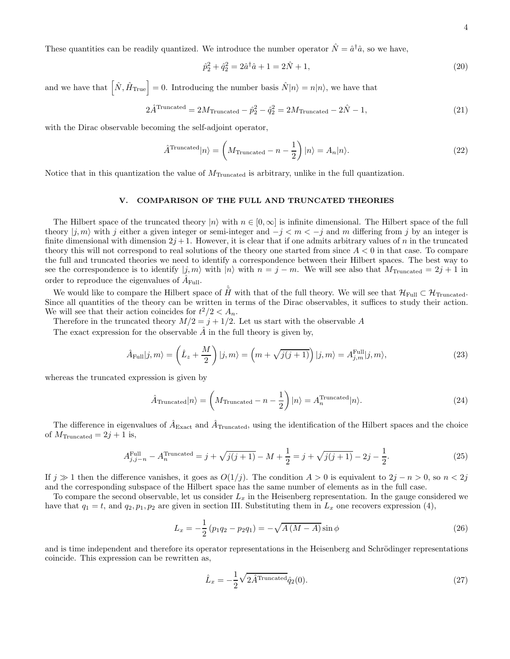These quantities can be readily quantized. We introduce the number operator  $\hat{N} = \hat{a}^{\dagger} \hat{a}$ , so we have,

$$
\hat{p}_2^2 + \hat{q}_2^2 = 2\hat{a}^\dagger \hat{a} + 1 = 2\hat{N} + 1,\tag{20}
$$

and we have that  $\left[\hat{N}, \hat{H}_{\text{True}}\right] = 0$ . Introducing the number basis  $\hat{N}|n\rangle = n|n\rangle$ , we have that

$$
2\hat{A}^{\text{Truncated}} = 2M_{\text{Truncated}} - \hat{p}_2^2 - \hat{q}_2^2 = 2M_{\text{Truncated}} - 2\hat{N} - 1,\tag{21}
$$

with the Dirac observable becoming the self-adjoint operator,

$$
\hat{A}^{\text{Truncated}}|n\rangle = \left(M_{\text{Truncated}} - n - \frac{1}{2}\right)|n\rangle = A_n|n\rangle. \tag{22}
$$

Notice that in this quantization the value of  $M_{Truncated}$  is arbitrary, unlike in the full quantization.

#### V. COMPARISON OF THE FULL AND TRUNCATED THEORIES

The Hilbert space of the truncated theory  $|n\rangle$  with  $n \in [0,\infty]$  is infinite dimensional. The Hilbert space of the full theory  $|j, m\rangle$  with j either a given integer or semi-integer and  $-j < m < -j$  and m differing from j by an integer is finite dimensional with dimension  $2j + 1$ . However, it is clear that if one admits arbitrary values of n in the truncated theory this will not correspond to real solutions of the theory one started from since  $A < 0$  in that case. To compare the full and truncated theories we need to identify a correspondence between their Hilbert spaces. The best way to see the correspondence is to identify  $|j, m\rangle$  with  $|n\rangle$  with  $n = j - m$ . We will see also that  $M_{Truncated} = 2j + 1$  in order to reproduce the eigenvalues of  $\hat{A}_{\text{Full}}$ .

We would like to compare the Hilbert space of  $\hat{H}$  with that of the full theory. We will see that  $\mathcal{H}_{\text{Full}} \subset \mathcal{H}_{\text{Truncated}}$ . Since all quantities of the theory can be written in terms of the Dirac observables, it suffices to study their action. We will see that their action coincides for  $t^2/2 < A_n$ .

Therefore in the truncated theory  $M/2 = j + 1/2$ . Let us start with the observable A

The exact expression for the observable  $\hat{A}$  in the full theory is given by,

$$
\hat{A}_{\text{Full}}|j,m\rangle = \left(\hat{L}_z + \frac{M}{2}\right)|j,m\rangle = \left(m + \sqrt{j(j+1)}\right)|j,m\rangle = A_{j,m}^{\text{Full}}|j,m\rangle,\tag{23}
$$

whereas the truncated expression is given by

$$
\hat{A}_{\text{Truncated}}|n\rangle = \left(M_{\text{Truncated}} - n - \frac{1}{2}\right)|n\rangle = A_n^{\text{Truncated}}|n\rangle. \tag{24}
$$

The difference in eigenvalues of  $\hat{A}_{\text{Exact}}$  and  $\hat{A}_{\text{Truncated}}$ , using the identification of the Hilbert spaces and the choice of  $M_{\text{Truncated}} = 2j + 1$  is,

$$
A_{j,j-n}^{\text{Full}} - A_n^{\text{Truncated}} = j + \sqrt{j(j+1)} - M + \frac{1}{2} = j + \sqrt{j(j+1)} - 2j - \frac{1}{2}.
$$
 (25)

If  $j \gg 1$  then the difference vanishes, it goes as  $O(1/j)$ . The condition  $A > 0$  is equivalent to  $2j - n > 0$ , so  $n < 2j$ and the corresponding subspace of the Hilbert space has the same number of elements as in the full case.

To compare the second observable, let us consider  $L_x$  in the Heisenberg representation. In the gauge considered we have that  $q_1 = t$ , and  $q_2, p_1, p_2$  are given in section III. Substituting them in  $L_x$  one recovers expression (4),

$$
L_x = -\frac{1}{2} (p_1 q_2 - p_2 q_1) = -\sqrt{A (M - A)} \sin \phi \tag{26}
$$

and is time independent and therefore its operator representations in the Heisenberg and Schrödinger representations coincide. This expression can be rewritten as,

$$
\hat{L}_x = -\frac{1}{2}\sqrt{2\hat{A}^{\text{Truncated}}}\hat{q}_2(0). \tag{27}
$$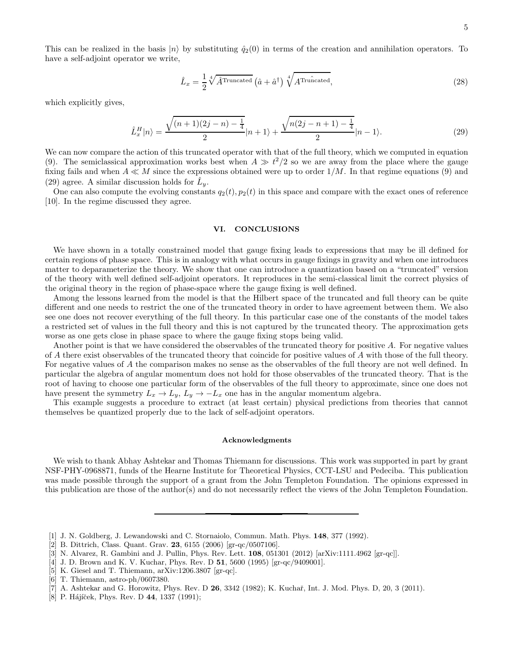This can be realized in the basis  $|n\rangle$  by substituting  $\hat{q}_2(0)$  in terms of the creation and annihilation operators. To have a self-adjoint operator we write,

$$
\hat{L}_x = \frac{1}{2} \sqrt[4]{\hat{A}^{\text{Truncated}}}\left(\hat{a} + \hat{a}^\dagger\right) \sqrt[4]{A^{\text{Truncated}}},\tag{28}
$$

which explicitly gives,

$$
\hat{L}_x^H|n\rangle = \frac{\sqrt{(n+1)(2j-n)-\frac{1}{4}}}{2}|n+1\rangle + \frac{\sqrt{n(2j-n+1)-\frac{1}{4}}}{2}|n-1\rangle.
$$
\n(29)

We can now compare the action of this truncated operator with that of the full theory, which we computed in equation (9). The semiclassical approximation works best when  $A \gg t^2/2$  so we are away from the place where the gauge fixing fails and when  $A \ll M$  since the expressions obtained were up to order  $1/M$ . In that regime equations (9) and (29) agree. A similar discussion holds for  $\hat{L}_y$ .

One can also compute the evolving constants  $q_2(t)$ ,  $p_2(t)$  in this space and compare with the exact ones of reference [10]. In the regime discussed they agree.

#### VI. CONCLUSIONS

We have shown in a totally constrained model that gauge fixing leads to expressions that may be ill defined for certain regions of phase space. This is in analogy with what occurs in gauge fixings in gravity and when one introduces matter to deparameterize the theory. We show that one can introduce a quantization based on a "truncated" version of the theory with well defined self-adjoint operators. It reproduces in the semi-classical limit the correct physics of the original theory in the region of phase-space where the gauge fixing is well defined.

Among the lessons learned from the model is that the Hilbert space of the truncated and full theory can be quite different and one needs to restrict the one of the truncated theory in order to have agreement between them. We also see one does not recover everything of the full theory. In this particular case one of the constants of the model takes a restricted set of values in the full theory and this is not captured by the truncated theory. The approximation gets worse as one gets close in phase space to where the gauge fixing stops being valid.

Another point is that we have considered the observables of the truncated theory for positive A. For negative values of A there exist observables of the truncated theory that coincide for positive values of A with those of the full theory. For negative values of A the comparison makes no sense as the observables of the full theory are not well defined. In particular the algebra of angular momentum does not hold for those observables of the truncated theory. That is the root of having to choose one particular form of the observables of the full theory to approximate, since one does not have present the symmetry  $L_x \to L_y$ ,  $L_y \to -L_x$  one has in the angular momentum algebra.

This example suggests a procedure to extract (at least certain) physical predictions from theories that cannot themselves be quantized properly due to the lack of self-adjoint operators.

#### Acknowledgments

We wish to thank Abhay Ashtekar and Thomas Thiemann for discussions. This work was supported in part by grant NSF-PHY-0968871, funds of the Hearne Institute for Theoretical Physics, CCT-LSU and Pedeciba. This publication was made possible through the support of a grant from the John Templeton Foundation. The opinions expressed in this publication are those of the author(s) and do not necessarily reflect the views of the John Templeton Foundation.

- [1] J. N. Goldberg, J. Lewandowski and C. Stornaiolo, Commun. Math. Phys. 148, 377 (1992).
- [2] B. Dittrich, Class. Quant. Grav. 23, 6155 (2006) [gr-qc/0507106].
- [3] N. Alvarez, R. Gambini and J. Pullin, Phys. Rev. Lett. 108, 051301 (2012) [arXiv:1111.4962 [gr-qc]].
- [4] J. D. Brown and K. V. Kuchar, Phys. Rev. D 51, 5600 (1995) [gr-qc/9409001].
- [5] K. Giesel and T. Thiemann, arXiv:1206.3807 [gr-qc].
- [6] T. Thiemann, astro-ph/0607380.

[8] P. Hájíček, Phys. Rev. D  $44$ , 1337 (1991);

<sup>[7]</sup> A. Ashtekar and G. Horowitz, Phys. Rev. D 26, 3342 (1982); K. Kuchaˇr, Int. J. Mod. Phys. D, 20, 3 (2011).